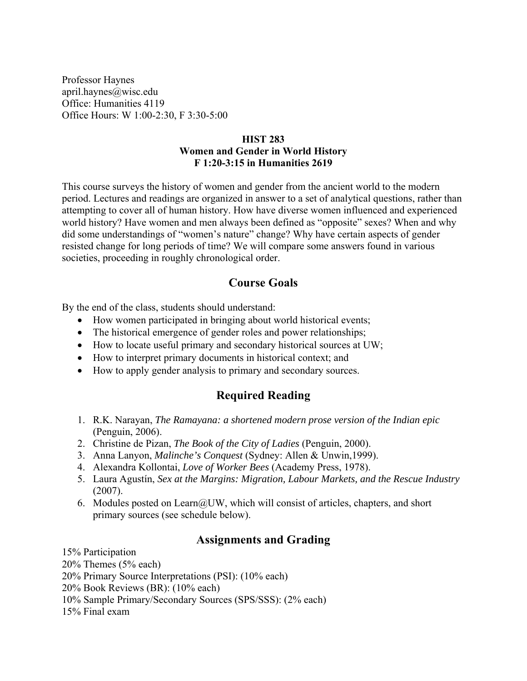Professor Haynes april.haynes@wisc.edu Office: Humanities 4119 Office Hours: W 1:00-2:30, F 3:30-5:00

#### **HIST 283 Women and Gender in World History F 1:20-3:15 in Humanities 2619**

This course surveys the history of women and gender from the ancient world to the modern period. Lectures and readings are organized in answer to a set of analytical questions, rather than attempting to cover all of human history. How have diverse women influenced and experienced world history? Have women and men always been defined as "opposite" sexes? When and why did some understandings of "women's nature" change? Why have certain aspects of gender resisted change for long periods of time? We will compare some answers found in various societies, proceeding in roughly chronological order.

## **Course Goals**

By the end of the class, students should understand:

- How women participated in bringing about world historical events;
- The historical emergence of gender roles and power relationships;
- How to locate useful primary and secondary historical sources at UW;
- How to interpret primary documents in historical context; and
- How to apply gender analysis to primary and secondary sources.

# **Required Reading**

- 1. R.K. Narayan, *The Ramayana: a shortened modern prose version of the Indian epic*  (Penguin, 2006).
- 2. Christine de Pizan, *The Book of the City of Ladies* (Penguin, 2000).
- 3. Anna Lanyon, *Malinche's Conquest* (Sydney: Allen & Unwin,1999).
- 4. Alexandra Kollontai, *Love of Worker Bees* (Academy Press, 1978).
- 5. Laura Agustín, *Sex at the Margins: Migration, Labour Markets, and the Rescue Industry*  (2007).
- 6. Modules posted on Learn@UW, which will consist of articles, chapters, and short primary sources (see schedule below).

### **Assignments and Grading**

15% Participation 20% Themes (5% each) 20% Primary Source Interpretations (PSI): (10% each) 20% Book Reviews (BR): (10% each) 10% Sample Primary/Secondary Sources (SPS/SSS): (2% each) 15% Final exam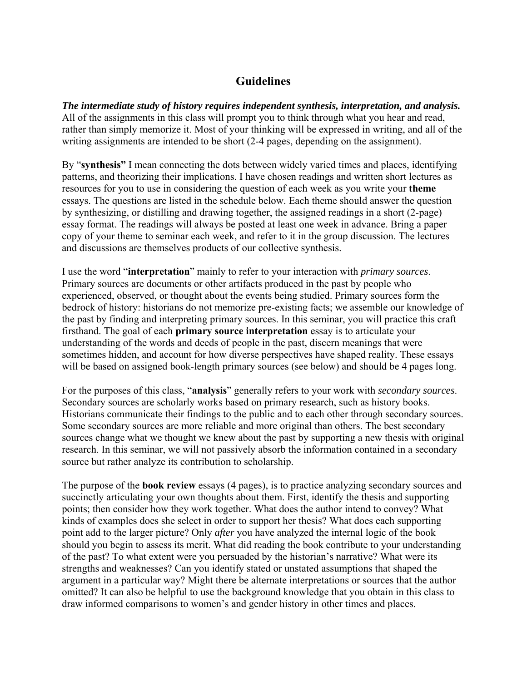### **Guidelines**

*The intermediate study of history requires independent synthesis, interpretation, and analysis.*  All of the assignments in this class will prompt you to think through what you hear and read, rather than simply memorize it. Most of your thinking will be expressed in writing, and all of the writing assignments are intended to be short (2-4 pages, depending on the assignment).

By "**synthesis"** I mean connecting the dots between widely varied times and places, identifying patterns, and theorizing their implications. I have chosen readings and written short lectures as resources for you to use in considering the question of each week as you write your **theme**  essays. The questions are listed in the schedule below. Each theme should answer the question by synthesizing, or distilling and drawing together, the assigned readings in a short (2-page) essay format. The readings will always be posted at least one week in advance. Bring a paper copy of your theme to seminar each week, and refer to it in the group discussion. The lectures and discussions are themselves products of our collective synthesis.

I use the word "**interpretation**" mainly to refer to your interaction with *primary sources*. Primary sources are documents or other artifacts produced in the past by people who experienced, observed, or thought about the events being studied. Primary sources form the bedrock of history: historians do not memorize pre-existing facts; we assemble our knowledge of the past by finding and interpreting primary sources. In this seminar, you will practice this craft firsthand. The goal of each **primary source interpretation** essay is to articulate your understanding of the words and deeds of people in the past, discern meanings that were sometimes hidden, and account for how diverse perspectives have shaped reality. These essays will be based on assigned book-length primary sources (see below) and should be 4 pages long.

For the purposes of this class, "**analysis**" generally refers to your work with *secondary sources*. Secondary sources are scholarly works based on primary research, such as history books. Historians communicate their findings to the public and to each other through secondary sources. Some secondary sources are more reliable and more original than others. The best secondary sources change what we thought we knew about the past by supporting a new thesis with original research. In this seminar, we will not passively absorb the information contained in a secondary source but rather analyze its contribution to scholarship.

The purpose of the **book review** essays (4 pages), is to practice analyzing secondary sources and succinctly articulating your own thoughts about them. First, identify the thesis and supporting points; then consider how they work together. What does the author intend to convey? What kinds of examples does she select in order to support her thesis? What does each supporting point add to the larger picture? Only *after* you have analyzed the internal logic of the book should you begin to assess its merit. What did reading the book contribute to your understanding of the past? To what extent were you persuaded by the historian's narrative? What were its strengths and weaknesses? Can you identify stated or unstated assumptions that shaped the argument in a particular way? Might there be alternate interpretations or sources that the author omitted? It can also be helpful to use the background knowledge that you obtain in this class to draw informed comparisons to women's and gender history in other times and places.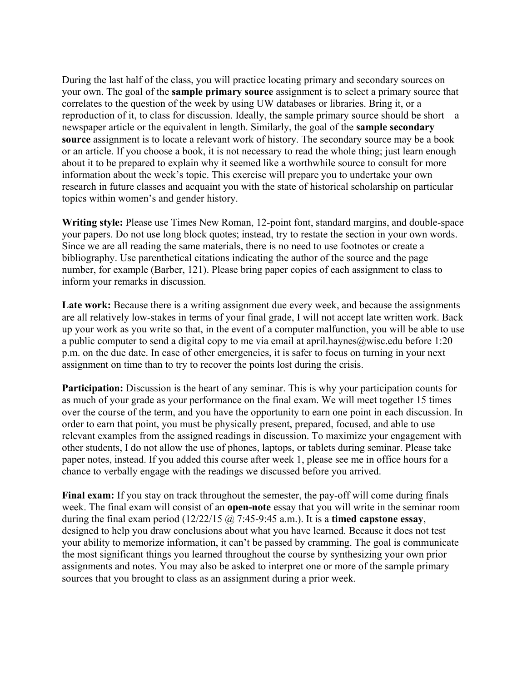During the last half of the class, you will practice locating primary and secondary sources on your own. The goal of the **sample primary source** assignment is to select a primary source that correlates to the question of the week by using UW databases or libraries. Bring it, or a reproduction of it, to class for discussion. Ideally, the sample primary source should be short—a newspaper article or the equivalent in length. Similarly, the goal of the **sample secondary source** assignment is to locate a relevant work of history. The secondary source may be a book or an article. If you choose a book, it is not necessary to read the whole thing; just learn enough about it to be prepared to explain why it seemed like a worthwhile source to consult for more information about the week's topic. This exercise will prepare you to undertake your own research in future classes and acquaint you with the state of historical scholarship on particular topics within women's and gender history.

**Writing style:** Please use Times New Roman, 12-point font, standard margins, and double-space your papers. Do not use long block quotes; instead, try to restate the section in your own words. Since we are all reading the same materials, there is no need to use footnotes or create a bibliography. Use parenthetical citations indicating the author of the source and the page number, for example (Barber, 121). Please bring paper copies of each assignment to class to inform your remarks in discussion.

Late work: Because there is a writing assignment due every week, and because the assignments are all relatively low-stakes in terms of your final grade, I will not accept late written work. Back up your work as you write so that, in the event of a computer malfunction, you will be able to use a public computer to send a digital copy to me via email at april.haynes@wisc.edu before 1:20 p.m. on the due date. In case of other emergencies, it is safer to focus on turning in your next assignment on time than to try to recover the points lost during the crisis.

**Participation:** Discussion is the heart of any seminar. This is why your participation counts for as much of your grade as your performance on the final exam. We will meet together 15 times over the course of the term, and you have the opportunity to earn one point in each discussion. In order to earn that point, you must be physically present, prepared, focused, and able to use relevant examples from the assigned readings in discussion. To maximize your engagement with other students, I do not allow the use of phones, laptops, or tablets during seminar. Please take paper notes, instead. If you added this course after week 1, please see me in office hours for a chance to verbally engage with the readings we discussed before you arrived.

**Final exam:** If you stay on track throughout the semester, the pay-off will come during finals week. The final exam will consist of an **open-note** essay that you will write in the seminar room during the final exam period (12/22/15 @ 7:45-9:45 a.m.). It is a **timed capstone essay**, designed to help you draw conclusions about what you have learned. Because it does not test your ability to memorize information, it can't be passed by cramming. The goal is communicate the most significant things you learned throughout the course by synthesizing your own prior assignments and notes. You may also be asked to interpret one or more of the sample primary sources that you brought to class as an assignment during a prior week.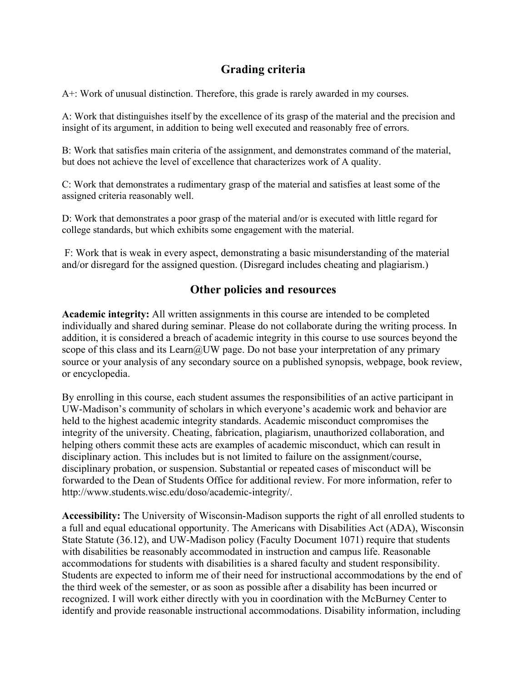## **Grading criteria**

A+: Work of unusual distinction. Therefore, this grade is rarely awarded in my courses.

A: Work that distinguishes itself by the excellence of its grasp of the material and the precision and insight of its argument, in addition to being well executed and reasonably free of errors.

B: Work that satisfies main criteria of the assignment, and demonstrates command of the material, but does not achieve the level of excellence that characterizes work of A quality.

C: Work that demonstrates a rudimentary grasp of the material and satisfies at least some of the assigned criteria reasonably well.

D: Work that demonstrates a poor grasp of the material and/or is executed with little regard for college standards, but which exhibits some engagement with the material.

 F: Work that is weak in every aspect, demonstrating a basic misunderstanding of the material and/or disregard for the assigned question. (Disregard includes cheating and plagiarism.)

### **Other policies and resources**

**Academic integrity:** All written assignments in this course are intended to be completed individually and shared during seminar. Please do not collaborate during the writing process. In addition, it is considered a breach of academic integrity in this course to use sources beyond the scope of this class and its Learn@UW page. Do not base your interpretation of any primary source or your analysis of any secondary source on a published synopsis, webpage, book review, or encyclopedia.

By enrolling in this course, each student assumes the responsibilities of an active participant in UW-Madison's community of scholars in which everyone's academic work and behavior are held to the highest academic integrity standards. Academic misconduct compromises the integrity of the university. Cheating, fabrication, plagiarism, unauthorized collaboration, and helping others commit these acts are examples of academic misconduct, which can result in disciplinary action. This includes but is not limited to failure on the assignment/course, disciplinary probation, or suspension. Substantial or repeated cases of misconduct will be forwarded to the Dean of Students Office for additional review. For more information, refer to http://www.students.wisc.edu/doso/academic-integrity/.

**Accessibility:** The University of Wisconsin-Madison supports the right of all enrolled students to a full and equal educational opportunity. The Americans with Disabilities Act (ADA), Wisconsin State Statute (36.12), and UW-Madison policy (Faculty Document 1071) require that students with disabilities be reasonably accommodated in instruction and campus life. Reasonable accommodations for students with disabilities is a shared faculty and student responsibility. Students are expected to inform me of their need for instructional accommodations by the end of the third week of the semester, or as soon as possible after a disability has been incurred or recognized. I will work either directly with you in coordination with the McBurney Center to identify and provide reasonable instructional accommodations. Disability information, including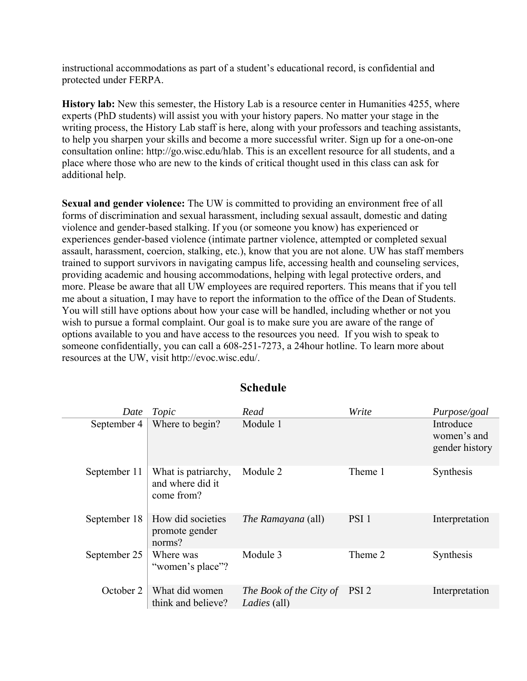instructional accommodations as part of a student's educational record, is confidential and protected under FERPA.

**History lab:** New this semester, the History Lab is a resource center in Humanities 4255, where experts (PhD students) will assist you with your history papers. No matter your stage in the writing process, the History Lab staff is here, along with your professors and teaching assistants, to help you sharpen your skills and become a more successful writer. Sign up for a one-on-one consultation online: http://go.wisc.edu/hlab. This is an excellent resource for all students, and a place where those who are new to the kinds of critical thought used in this class can ask for additional help.

**Sexual and gender violence:** The UW is committed to providing an environment free of all forms of discrimination and sexual harassment, including sexual assault, domestic and dating violence and gender-based stalking. If you (or someone you know) has experienced or experiences gender-based violence (intimate partner violence, attempted or completed sexual assault, harassment, coercion, stalking, etc.), know that you are not alone. UW has staff members trained to support survivors in navigating campus life, accessing health and counseling services, providing academic and housing accommodations, helping with legal protective orders, and more. Please be aware that all UW employees are required reporters. This means that if you tell me about a situation, I may have to report the information to the office of the Dean of Students. You will still have options about how your case will be handled, including whether or not you wish to pursue a formal complaint. Our goal is to make sure you are aware of the range of options available to you and have access to the resources you need. If you wish to speak to someone confidentially, you can call a 608-251-7273, a 24hour hotline. To learn more about resources at the UW, visit http://evoc.wisc.edu/.

| Date         | Topic                                                 | Read                                    | Write            | Purpose/goal                               |
|--------------|-------------------------------------------------------|-----------------------------------------|------------------|--------------------------------------------|
| September 4  | Where to begin?                                       | Module 1                                |                  | Introduce<br>women's and<br>gender history |
| September 11 | What is patriarchy,<br>and where did it<br>come from? | Module 2                                | Theme 1          | Synthesis                                  |
| September 18 | How did societies<br>promote gender<br>norms?         | <i>The Ramayana</i> (all)               | PSI <sub>1</sub> | Interpretation                             |
| September 25 | Where was<br>"women's place"?                         | Module 3                                | Theme 2          | Synthesis                                  |
| October 2    | What did women<br>think and believe?                  | The Book of the City of<br>Ladies (all) | PSI <sub>2</sub> | Interpretation                             |

#### **Schedule**